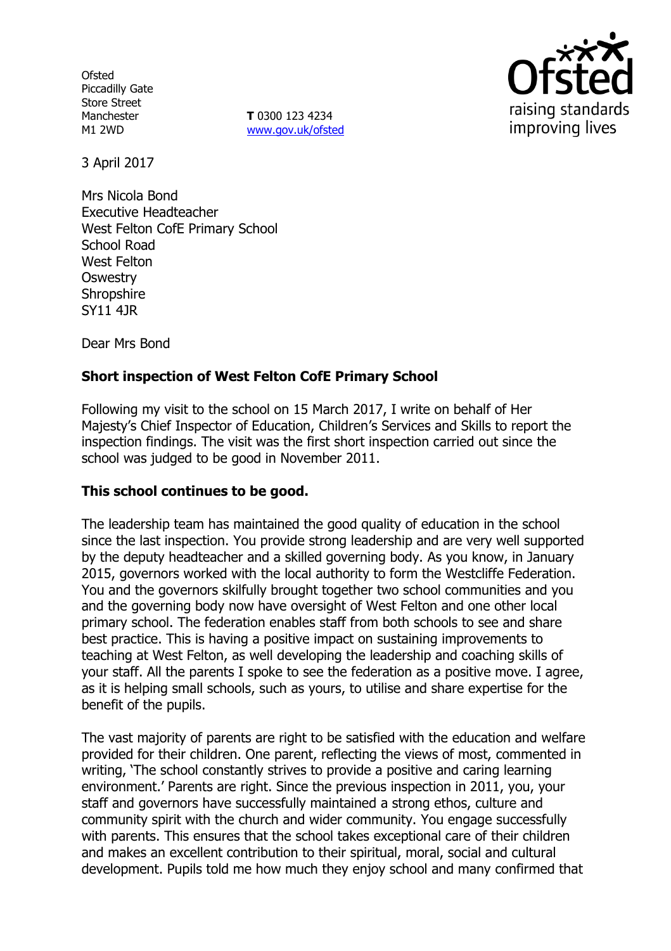**Ofsted** Piccadilly Gate Store Street Manchester M1 2WD

**T** 0300 123 4234 www.gov.uk/ofsted



3 April 2017

Mrs Nicola Bond Executive Headteacher West Felton CofE Primary School School Road West Felton **Oswestry Shropshire** SY11 4JR

Dear Mrs Bond

# **Short inspection of West Felton CofE Primary School**

Following my visit to the school on 15 March 2017, I write on behalf of Her Majesty's Chief Inspector of Education, Children's Services and Skills to report the inspection findings. The visit was the first short inspection carried out since the school was judged to be good in November 2011.

## **This school continues to be good.**

The leadership team has maintained the good quality of education in the school since the last inspection. You provide strong leadership and are very well supported by the deputy headteacher and a skilled governing body. As you know, in January 2015, governors worked with the local authority to form the Westcliffe Federation. You and the governors skilfully brought together two school communities and you and the governing body now have oversight of West Felton and one other local primary school. The federation enables staff from both schools to see and share best practice. This is having a positive impact on sustaining improvements to teaching at West Felton, as well developing the leadership and coaching skills of your staff. All the parents I spoke to see the federation as a positive move. I agree, as it is helping small schools, such as yours, to utilise and share expertise for the benefit of the pupils.

The vast majority of parents are right to be satisfied with the education and welfare provided for their children. One parent, reflecting the views of most, commented in writing, 'The school constantly strives to provide a positive and caring learning environment.' Parents are right. Since the previous inspection in 2011, you, your staff and governors have successfully maintained a strong ethos, culture and community spirit with the church and wider community. You engage successfully with parents. This ensures that the school takes exceptional care of their children and makes an excellent contribution to their spiritual, moral, social and cultural development. Pupils told me how much they enjoy school and many confirmed that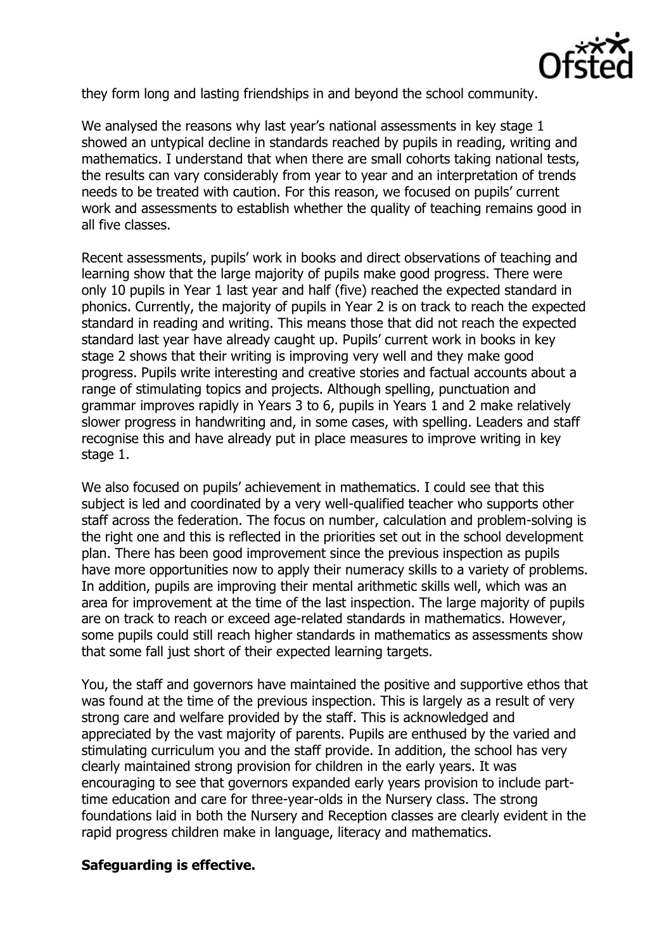

they form long and lasting friendships in and beyond the school community.

We analysed the reasons why last year's national assessments in key stage 1 showed an untypical decline in standards reached by pupils in reading, writing and mathematics. I understand that when there are small cohorts taking national tests, the results can vary considerably from year to year and an interpretation of trends needs to be treated with caution. For this reason, we focused on pupils' current work and assessments to establish whether the quality of teaching remains good in all five classes.

Recent assessments, pupils' work in books and direct observations of teaching and learning show that the large majority of pupils make good progress. There were only 10 pupils in Year 1 last year and half (five) reached the expected standard in phonics. Currently, the majority of pupils in Year 2 is on track to reach the expected standard in reading and writing. This means those that did not reach the expected standard last year have already caught up. Pupils' current work in books in key stage 2 shows that their writing is improving very well and they make good progress. Pupils write interesting and creative stories and factual accounts about a range of stimulating topics and projects. Although spelling, punctuation and grammar improves rapidly in Years 3 to 6, pupils in Years 1 and 2 make relatively slower progress in handwriting and, in some cases, with spelling. Leaders and staff recognise this and have already put in place measures to improve writing in key stage 1.

We also focused on pupils' achievement in mathematics. I could see that this subject is led and coordinated by a very well-qualified teacher who supports other staff across the federation. The focus on number, calculation and problem-solving is the right one and this is reflected in the priorities set out in the school development plan. There has been good improvement since the previous inspection as pupils have more opportunities now to apply their numeracy skills to a variety of problems. In addition, pupils are improving their mental arithmetic skills well, which was an area for improvement at the time of the last inspection. The large majority of pupils are on track to reach or exceed age-related standards in mathematics. However, some pupils could still reach higher standards in mathematics as assessments show that some fall just short of their expected learning targets.

You, the staff and governors have maintained the positive and supportive ethos that was found at the time of the previous inspection. This is largely as a result of very strong care and welfare provided by the staff. This is acknowledged and appreciated by the vast majority of parents. Pupils are enthused by the varied and stimulating curriculum you and the staff provide. In addition, the school has very clearly maintained strong provision for children in the early years. It was encouraging to see that governors expanded early years provision to include parttime education and care for three-year-olds in the Nursery class. The strong foundations laid in both the Nursery and Reception classes are clearly evident in the rapid progress children make in language, literacy and mathematics.

## **Safeguarding is effective.**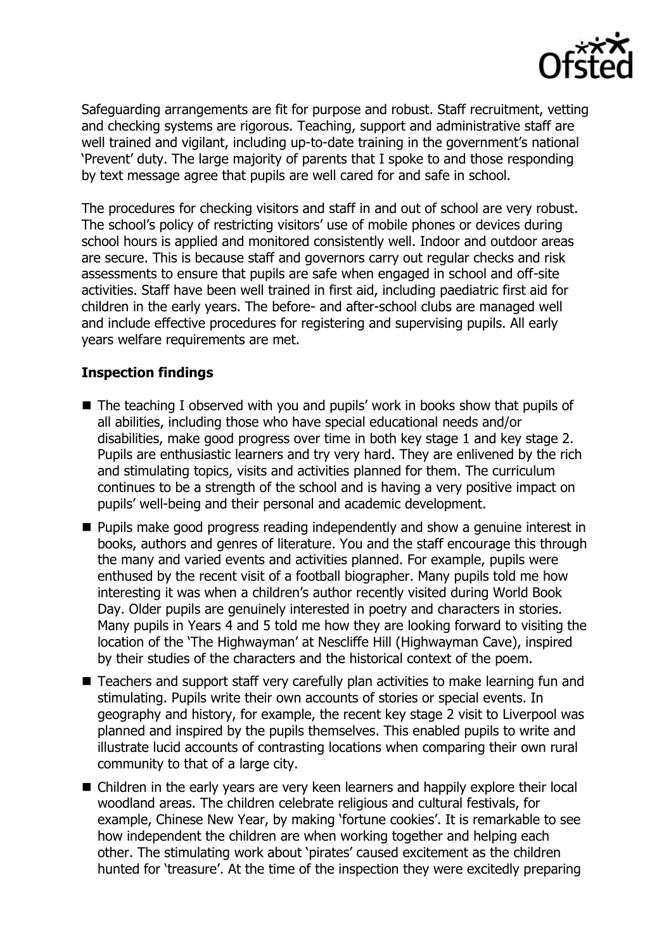

Safeguarding arrangements are fit for purpose and robust. Staff recruitment, vetting and checking systems are rigorous. Teaching, support and administrative staff are well trained and vigilant, including up-to-date training in the government's national 'Prevent' duty. The large majority of parents that I spoke to and those responding by text message agree that pupils are well cared for and safe in school.

The procedures for checking visitors and staff in and out of school are very robust. The school's policy of restricting visitors' use of mobile phones or devices during school hours is applied and monitored consistently well. Indoor and outdoor areas are secure. This is because staff and governors carry out regular checks and risk assessments to ensure that pupils are safe when engaged in school and off-site activities. Staff have been well trained in first aid, including paediatric first aid for children in the early years. The before- and after-school clubs are managed well and include effective procedures for registering and supervising pupils. All early years welfare requirements are met.

## **Inspection findings**

- The teaching I observed with you and pupils' work in books show that pupils of all abilities, including those who have special educational needs and/or disabilities, make good progress over time in both key stage 1 and key stage 2. Pupils are enthusiastic learners and try very hard. They are enlivened by the rich and stimulating topics, visits and activities planned for them. The curriculum continues to be a strength of the school and is having a very positive impact on pupils' well-being and their personal and academic development.
- **Pupils make good progress reading independently and show a genuine interest in** books, authors and genres of literature. You and the staff encourage this through the many and varied events and activities planned. For example, pupils were enthused by the recent visit of a football biographer. Many pupils told me how interesting it was when a children's author recently visited during World Book Day. Older pupils are genuinely interested in poetry and characters in stories. Many pupils in Years 4 and 5 told me how they are looking forward to visiting the location of the 'The Highwayman' at Nescliffe Hill (Highwayman Cave), inspired by their studies of the characters and the historical context of the poem.
- Teachers and support staff very carefully plan activities to make learning fun and stimulating. Pupils write their own accounts of stories or special events. In geography and history, for example, the recent key stage 2 visit to Liverpool was planned and inspired by the pupils themselves. This enabled pupils to write and illustrate lucid accounts of contrasting locations when comparing their own rural community to that of a large city.
- Children in the early years are very keen learners and happily explore their local woodland areas. The children celebrate religious and cultural festivals, for example, Chinese New Year, by making 'fortune cookies'. It is remarkable to see how independent the children are when working together and helping each other. The stimulating work about 'pirates' caused excitement as the children hunted for 'treasure'. At the time of the inspection they were excitedly preparing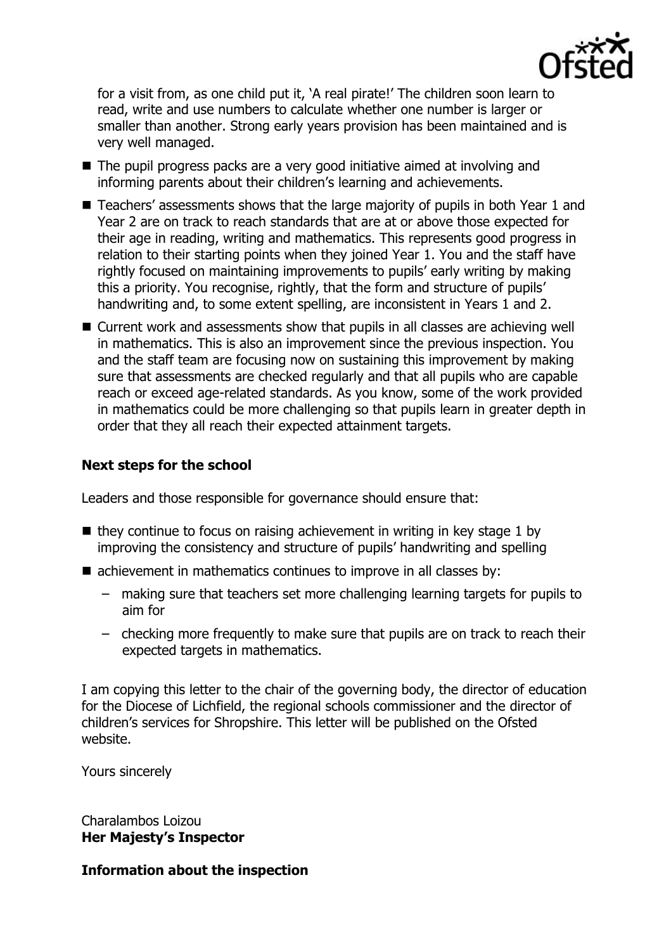

for a visit from, as one child put it, 'A real pirate!' The children soon learn to read, write and use numbers to calculate whether one number is larger or smaller than another. Strong early years provision has been maintained and is very well managed.

- The pupil progress packs are a very good initiative aimed at involving and informing parents about their children's learning and achievements.
- Teachers' assessments shows that the large majority of pupils in both Year 1 and Year 2 are on track to reach standards that are at or above those expected for their age in reading, writing and mathematics. This represents good progress in relation to their starting points when they joined Year 1. You and the staff have rightly focused on maintaining improvements to pupils' early writing by making this a priority. You recognise, rightly, that the form and structure of pupils' handwriting and, to some extent spelling, are inconsistent in Years 1 and 2.
- Current work and assessments show that pupils in all classes are achieving well in mathematics. This is also an improvement since the previous inspection. You and the staff team are focusing now on sustaining this improvement by making sure that assessments are checked regularly and that all pupils who are capable reach or exceed age-related standards. As you know, some of the work provided in mathematics could be more challenging so that pupils learn in greater depth in order that they all reach their expected attainment targets.

## **Next steps for the school**

Leaders and those responsible for governance should ensure that:

- $\blacksquare$  they continue to focus on raising achievement in writing in key stage 1 by improving the consistency and structure of pupils' handwriting and spelling
- achievement in mathematics continues to improve in all classes by:
	- making sure that teachers set more challenging learning targets for pupils to aim for
	- checking more frequently to make sure that pupils are on track to reach their expected targets in mathematics.

I am copying this letter to the chair of the governing body, the director of education for the Diocese of Lichfield, the regional schools commissioner and the director of children's services for Shropshire. This letter will be published on the Ofsted website.

Yours sincerely

Charalambos Loizou **Her Majesty's Inspector**

**Information about the inspection**